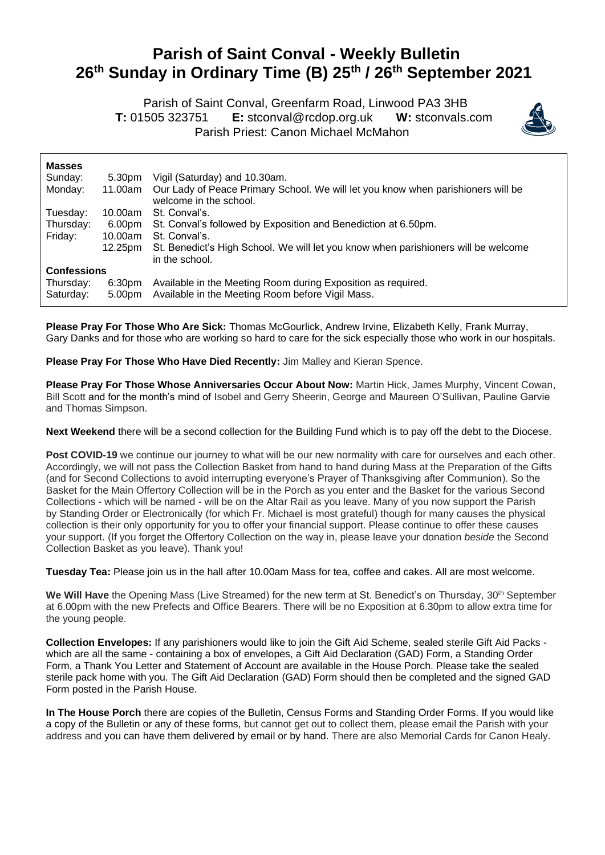## **Parish of Saint Conval - Weekly Bulletin 26 th Sunday in Ordinary Time (B) 25th / 26th September 2021**

 Parish of Saint Conval, Greenfarm Road, Linwood PA3 3HB **T:** 01505 323751 **E:** [stconval@rcdop.org.uk](mailto:stconval@rcdop.org.uk) **W:** stconvals.com Parish Priest: Canon Michael McMahon



| <b>Masses</b>          |                              |                                                                                                                  |
|------------------------|------------------------------|------------------------------------------------------------------------------------------------------------------|
| Sunday:                | 5.30pm                       | Vigil (Saturday) and 10.30am.                                                                                    |
| Monday:                | 11.00am                      | Our Lady of Peace Primary School. We will let you know when parishioners will be<br>welcome in the school.       |
| Tuesday:               | 10.00am                      | St. Conval's.                                                                                                    |
| Thursday:              | 6.00pm                       | St. Conval's followed by Exposition and Benediction at 6.50pm.                                                   |
| Friday:                | 10.00am                      | St. Conval's.                                                                                                    |
|                        | 12.25pm                      | St. Benedict's High School. We will let you know when parishioners will be welcome<br>in the school.             |
| <b>Confessions</b>     |                              |                                                                                                                  |
| Thursday:<br>Saturday: | 6:30 <sub>pm</sub><br>5.00pm | Available in the Meeting Room during Exposition as required.<br>Available in the Meeting Room before Vigil Mass. |

**Please Pray For Those Who Are Sick:** Thomas McGourlick, Andrew Irvine, Elizabeth Kelly, Frank Murray, Gary Danks and for those who are working so hard to care for the sick especially those who work in our hospitals.

**Please Pray For Those Who Have Died Recently:** Jim Malley and Kieran Spence.

**Please Pray For Those Whose Anniversaries Occur About Now:** Martin Hick, James Murphy, Vincent Cowan, Bill Scott and for the month's mind of Isobel and Gerry Sheerin, George and Maureen O'Sullivan, Pauline Garvie and Thomas Simpson.

**Next Weekend** there will be a second collection for the Building Fund which is to pay off the debt to the Diocese.

Post COVID-19 we continue our journey to what will be our new normality with care for ourselves and each other. Accordingly, we will not pass the Collection Basket from hand to hand during Mass at the Preparation of the Gifts (and for Second Collections to avoid interrupting everyone's Prayer of Thanksgiving after Communion). So the Basket for the Main Offertory Collection will be in the Porch as you enter and the Basket for the various Second Collections - which will be named - will be on the Altar Rail as you leave. Many of you now support the Parish by Standing Order or Electronically (for which Fr. Michael is most grateful) though for many causes the physical collection is their only opportunity for you to offer your financial support. Please continue to offer these causes your support. (If you forget the Offertory Collection on the way in, please leave your donation *beside* the Second Collection Basket as you leave). Thank you!

**Tuesday Tea:** Please join us in the hall after 10.00am Mass for tea, coffee and cakes. All are most welcome.

**We Will Have** the Opening Mass (Live Streamed) for the new term at St. Benedict's on Thursday, 30th September at 6.00pm with the new Prefects and Office Bearers. There will be no Exposition at 6.30pm to allow extra time for the young people.

**Collection Envelopes:** If any parishioners would like to join the Gift Aid Scheme, sealed sterile Gift Aid Packs which are all the same - containing a box of envelopes, a Gift Aid Declaration (GAD) Form, a Standing Order Form, a Thank You Letter and Statement of Account are available in the House Porch. Please take the sealed sterile pack home with you. The Gift Aid Declaration (GAD) Form should then be completed and the signed GAD Form posted in the Parish House.

**In The House Porch** there are copies of the Bulletin, Census Forms and Standing Order Forms. If you would like a copy of the Bulletin or any of these forms, but cannot get out to collect them, please email the Parish with your address and you can have them delivered by email or by hand. There are also Memorial Cards for Canon Healy.